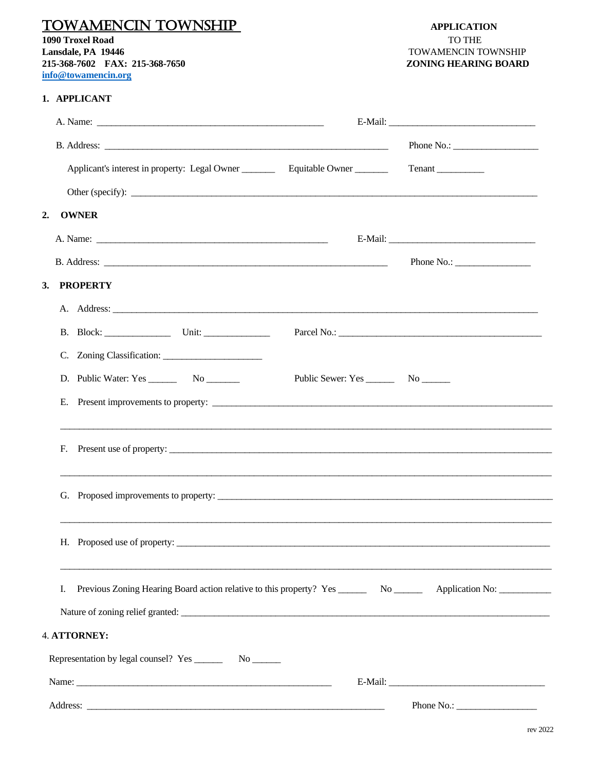## **TOWAMENCIN TOWNSHIP**

**1090 Troxel Road** Lansdale, PA 19446 215-368-7602 FAX: 215-368-7650 info@towamencin.org

## 1. APPLICANT

|                                                                                                            | Phone No.: $\qquad \qquad$ |
|------------------------------------------------------------------------------------------------------------|----------------------------|
|                                                                                                            |                            |
| Other (specify): $\qquad \qquad$                                                                           |                            |
| <b>OWNER</b><br>2.                                                                                         |                            |
|                                                                                                            |                            |
|                                                                                                            |                            |
| 3. PROPERTY                                                                                                |                            |
|                                                                                                            |                            |
| B. Block: Unit: Unit:                                                                                      |                            |
| C. Zoning Classification:                                                                                  |                            |
| D. Public Water: Yes _________ No ________                                                                 |                            |
|                                                                                                            |                            |
| F.                                                                                                         |                            |
| G. Proposed improvements to property:                                                                      |                            |
| H. Proposed use of property:                                                                               |                            |
| Previous Zoning Hearing Board action relative to this property? Yes _____________ No _______________<br>Ι. | Application No:            |
| Nature of zoning relief granted:                                                                           |                            |
| 4. ATTORNEY:                                                                                               |                            |
|                                                                                                            |                            |
|                                                                                                            |                            |
|                                                                                                            |                            |